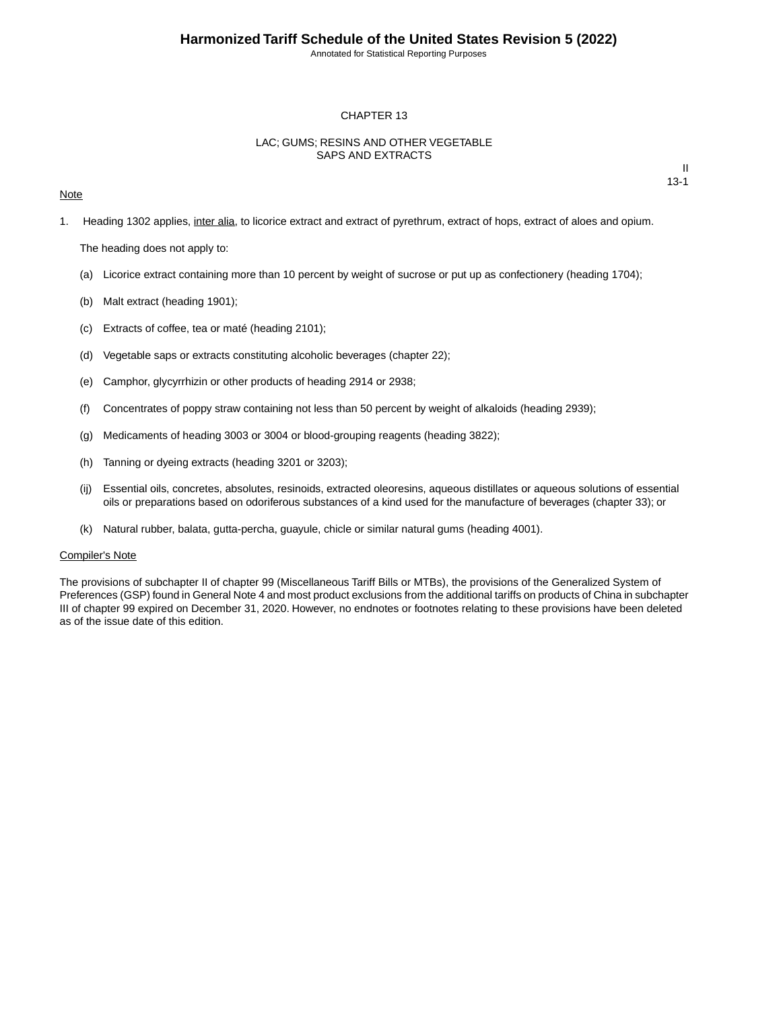Annotated for Statistical Reporting Purposes

### CHAPTER 13

## LAC; GUMS; RESINS AND OTHER VEGETABLE SAPS AND EXTRACTS

### **Note**

II 13-1

1. Heading 1302 applies, inter alia, to licorice extract and extract of pyrethrum, extract of hops, extract of aloes and opium.

The heading does not apply to:

- (a) Licorice extract containing more than 10 percent by weight of sucrose or put up as confectionery (heading 1704);
- (b) Malt extract (heading 1901);
- (c) Extracts of coffee, tea or maté (heading 2101);
- (d) Vegetable saps or extracts constituting alcoholic beverages (chapter 22);
- (e) Camphor, glycyrrhizin or other products of heading 2914 or 2938;
- (f) Concentrates of poppy straw containing not less than 50 percent by weight of alkaloids (heading 2939);
- (g) Medicaments of heading 3003 or 3004 or blood-grouping reagents (heading 3822);
- (h) Tanning or dyeing extracts (heading 3201 or 3203);
- (ij) Essential oils, concretes, absolutes, resinoids, extracted oleoresins, aqueous distillates or aqueous solutions of essential oils or preparations based on odoriferous substances of a kind used for the manufacture of beverages (chapter 33); or
- (k) Natural rubber, balata, gutta-percha, guayule, chicle or similar natural gums (heading 4001).

#### Compiler's Note

The provisions of subchapter II of chapter 99 (Miscellaneous Tariff Bills or MTBs), the provisions of the Generalized System of Preferences (GSP) found in General Note 4 and most product exclusions from the additional tariffs on products of China in subchapter III of chapter 99 expired on December 31, 2020. However, no endnotes or footnotes relating to these provisions have been deleted as of the issue date of this edition.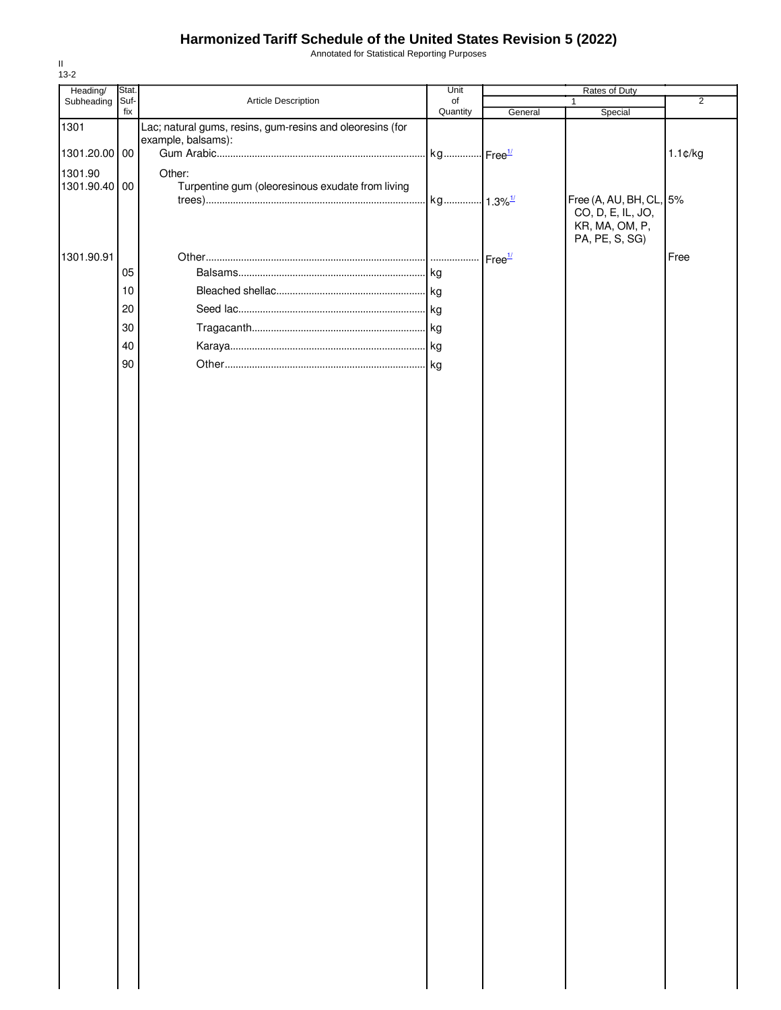# **Harmonized Tariff Schedule of the United States Revision 5 (2022)**

Annotated for Statistical Reporting Purposes

| Heading/      | Stat.  |                                                                                 | Unit     | Rates of Duty      |                                              |                   |
|---------------|--------|---------------------------------------------------------------------------------|----------|--------------------|----------------------------------------------|-------------------|
| Subheading    | Suf-   | Article Description                                                             | of       |                    |                                              | $\overline{2}$    |
|               | fix    |                                                                                 | Quantity | General            | Special                                      |                   |
| 1301          |        | Lac; natural gums, resins, gum-resins and oleoresins (for<br>example, balsams): |          |                    |                                              |                   |
| 1301.20.00 00 |        |                                                                                 |          |                    |                                              | $1.1 \text{C/kg}$ |
|               |        |                                                                                 |          |                    |                                              |                   |
| 1301.90       |        | Other:                                                                          |          |                    |                                              |                   |
| 1301.90.40    | $00\,$ | Turpentine gum (oleoresinous exudate from living                                |          |                    |                                              |                   |
|               |        |                                                                                 |          |                    | Free (A, AU, BH, CL, 5%<br>CO, D, E, IL, JO, |                   |
|               |        |                                                                                 |          |                    | KR, MA, OM, P,                               |                   |
|               |        |                                                                                 |          |                    | PA, PE, S, SG)                               |                   |
| 1301.90.91    |        |                                                                                 |          | Free <sup>1/</sup> |                                              | Free              |
|               | 05     |                                                                                 | kg       |                    |                                              |                   |
|               |        |                                                                                 |          |                    |                                              |                   |
|               | 10     |                                                                                 |          |                    |                                              |                   |
|               | 20     |                                                                                 |          |                    |                                              |                   |
|               | 30     |                                                                                 |          |                    |                                              |                   |
|               | 40     |                                                                                 |          |                    |                                              |                   |
|               |        |                                                                                 |          |                    |                                              |                   |
|               | 90     |                                                                                 |          |                    |                                              |                   |
|               |        |                                                                                 |          |                    |                                              |                   |
|               |        |                                                                                 |          |                    |                                              |                   |
|               |        |                                                                                 |          |                    |                                              |                   |
|               |        |                                                                                 |          |                    |                                              |                   |
|               |        |                                                                                 |          |                    |                                              |                   |
|               |        |                                                                                 |          |                    |                                              |                   |
|               |        |                                                                                 |          |                    |                                              |                   |
|               |        |                                                                                 |          |                    |                                              |                   |
|               |        |                                                                                 |          |                    |                                              |                   |
|               |        |                                                                                 |          |                    |                                              |                   |
|               |        |                                                                                 |          |                    |                                              |                   |
|               |        |                                                                                 |          |                    |                                              |                   |
|               |        |                                                                                 |          |                    |                                              |                   |
|               |        |                                                                                 |          |                    |                                              |                   |
|               |        |                                                                                 |          |                    |                                              |                   |
|               |        |                                                                                 |          |                    |                                              |                   |
|               |        |                                                                                 |          |                    |                                              |                   |
|               |        |                                                                                 |          |                    |                                              |                   |
|               |        |                                                                                 |          |                    |                                              |                   |
|               |        |                                                                                 |          |                    |                                              |                   |
|               |        |                                                                                 |          |                    |                                              |                   |
|               |        |                                                                                 |          |                    |                                              |                   |
|               |        |                                                                                 |          |                    |                                              |                   |
|               |        |                                                                                 |          |                    |                                              |                   |
|               |        |                                                                                 |          |                    |                                              |                   |
|               |        |                                                                                 |          |                    |                                              |                   |
|               |        |                                                                                 |          |                    |                                              |                   |
|               |        |                                                                                 |          |                    |                                              |                   |
|               |        |                                                                                 |          |                    |                                              |                   |
|               |        |                                                                                 |          |                    |                                              |                   |
|               |        |                                                                                 |          |                    |                                              |                   |
|               |        |                                                                                 |          |                    |                                              |                   |
|               |        |                                                                                 |          |                    |                                              |                   |
|               |        |                                                                                 |          |                    |                                              |                   |
|               |        |                                                                                 |          |                    |                                              |                   |
|               |        |                                                                                 |          |                    |                                              |                   |
|               |        |                                                                                 |          |                    |                                              |                   |
|               |        |                                                                                 |          |                    |                                              |                   |
|               |        |                                                                                 |          |                    |                                              |                   |
|               |        |                                                                                 |          |                    |                                              |                   |
|               |        |                                                                                 |          |                    |                                              |                   |
|               |        |                                                                                 |          |                    |                                              |                   |

II 13-2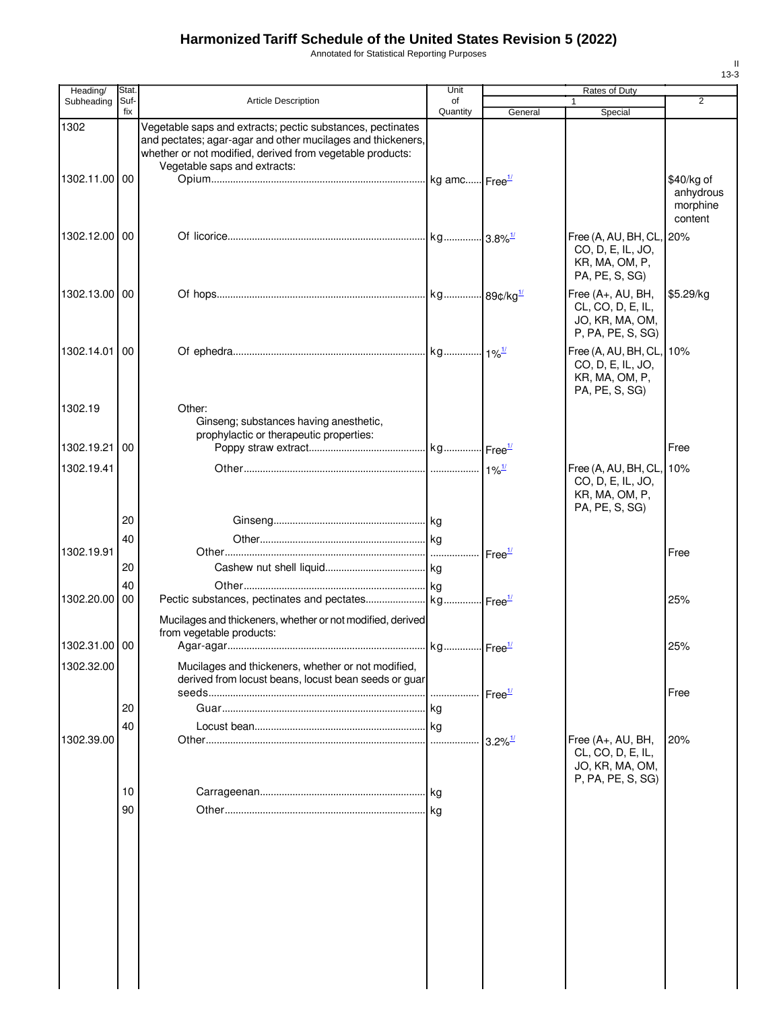# **Harmonized Tariff Schedule of the United States Revision 5 (2022)**

Annotated for Statistical Reporting Purposes

| Heading/      | <b>Stat</b> |                                                                                                                                                                                                                        | Unit     |                       | Rates of Duty                                                                     |                                                |
|---------------|-------------|------------------------------------------------------------------------------------------------------------------------------------------------------------------------------------------------------------------------|----------|-----------------------|-----------------------------------------------------------------------------------|------------------------------------------------|
| Subheading    | Suf-        | <b>Article Description</b>                                                                                                                                                                                             | of       |                       |                                                                                   | $\overline{2}$                                 |
|               | fix         |                                                                                                                                                                                                                        | Quantity | General               | Special                                                                           |                                                |
| 1302          |             | Vegetable saps and extracts; pectic substances, pectinates<br>and pectates; agar-agar and other mucilages and thickeners,<br>whether or not modified, derived from vegetable products:<br>Vegetable saps and extracts: |          |                       |                                                                                   |                                                |
| 1302.11.00 00 |             |                                                                                                                                                                                                                        |          |                       |                                                                                   | \$40/kg of<br>anhydrous<br>morphine<br>content |
| 1302.12.00 00 |             |                                                                                                                                                                                                                        |          |                       | Free (A, AU, BH, CL,<br>CO, D, E, IL, JO,<br>KR, MA, OM, P,<br>PA, PE, S, SG)     | 20%                                            |
| 1302.13.00 00 |             |                                                                                                                                                                                                                        |          |                       | Free (A+, AU, BH,<br>CL, CO, D, E, IL,<br>JO, KR, MA, OM,<br>P, PA, PE, S, SG)    | \$5.29/kg                                      |
| 1302.14.01    | 00          |                                                                                                                                                                                                                        |          |                       | Free (A, AU, BH, CL,<br>CO, D, E, IL, JO,<br>KR, MA, OM, P,<br>PA, PE, S, SG)     | 10%                                            |
| 1302.19       |             | Other:<br>Ginseng; substances having anesthetic,<br>prophylactic or therapeutic properties:                                                                                                                            |          |                       |                                                                                   |                                                |
| 1302.19.21    | 00          |                                                                                                                                                                                                                        |          |                       |                                                                                   | Free                                           |
| 1302.19.41    |             |                                                                                                                                                                                                                        |          |                       | Free (A, AU, BH, CL, 10%<br>CO, D, E, IL, JO,<br>KR, MA, OM, P,<br>PA, PE, S, SG) |                                                |
|               | 20          |                                                                                                                                                                                                                        |          |                       |                                                                                   |                                                |
|               | 40          |                                                                                                                                                                                                                        |          |                       |                                                                                   |                                                |
| 1302.19.91    |             |                                                                                                                                                                                                                        |          | Free <sup>1/</sup>    |                                                                                   | Free                                           |
|               | 20          |                                                                                                                                                                                                                        |          |                       |                                                                                   |                                                |
|               | 40          |                                                                                                                                                                                                                        |          |                       |                                                                                   |                                                |
| 1302.20.00    | 00          |                                                                                                                                                                                                                        |          |                       |                                                                                   | 25%                                            |
|               |             | Mucilages and thickeners, whether or not modified, derived<br>from vegetable products:                                                                                                                                 |          |                       |                                                                                   |                                                |
| 1302.31.00 00 |             |                                                                                                                                                                                                                        |          |                       |                                                                                   | 25%                                            |
| 1302.32.00    |             | Mucilages and thickeners, whether or not modified,<br>derived from locust beans, locust bean seeds or guar                                                                                                             |          |                       |                                                                                   |                                                |
|               |             |                                                                                                                                                                                                                        |          | Free <sup>1/</sup>    |                                                                                   | Free                                           |
|               | 20          |                                                                                                                                                                                                                        |          |                       |                                                                                   |                                                |
|               | 40          |                                                                                                                                                                                                                        |          |                       |                                                                                   |                                                |
| 1302.39.00    |             |                                                                                                                                                                                                                        |          | $3.2\%$ <sup>1/</sup> | Free (A+, AU, BH,<br>CL, CO, D, E, IL,<br>JO, KR, MA, OM,<br>P, PA, PE, S, SG)    | 20%                                            |
|               | 10          |                                                                                                                                                                                                                        |          |                       |                                                                                   |                                                |
|               | 90          |                                                                                                                                                                                                                        |          |                       |                                                                                   |                                                |
|               |             |                                                                                                                                                                                                                        |          |                       |                                                                                   |                                                |
|               |             |                                                                                                                                                                                                                        |          |                       |                                                                                   |                                                |

II 13-3